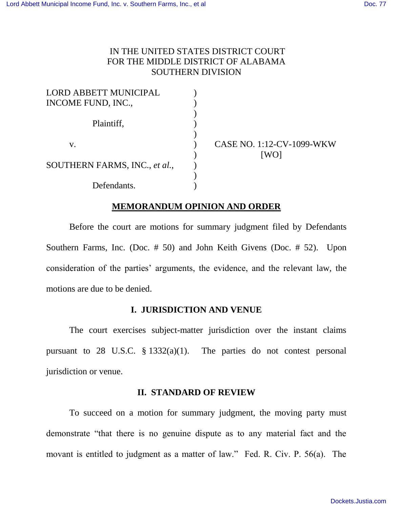# IN THE UNITED STATES DISTRICT COURT FOR THE MIDDLE DISTRICT OF ALABAMA SOUTHERN DIVISION

| <b>LORD ABBETT MUNICIPAL</b>  |  |
|-------------------------------|--|
| INCOME FUND, INC.,            |  |
|                               |  |
| Plaintiff,                    |  |
|                               |  |
| $V_{\star}$                   |  |
|                               |  |
| SOUTHERN FARMS, INC., et al., |  |
|                               |  |
| Defendants.                   |  |

) CASE NO. 1:12-CV-1099-WKW ) [WO]

# **MEMORANDUM OPINION AND ORDER**

Before the court are motions for summary judgment filed by Defendants Southern Farms, Inc. (Doc. # 50) and John Keith Givens (Doc. # 52). Upon consideration of the parties' arguments, the evidence, and the relevant law, the motions are due to be denied.

# **I. JURISDICTION AND VENUE**

The court exercises subject-matter jurisdiction over the instant claims pursuant to 28 U.S.C. § 1332(a)(1). The parties do not contest personal jurisdiction or venue.

## **II. STANDARD OF REVIEW**

To succeed on a motion for summary judgment, the moving party must demonstrate "that there is no genuine dispute as to any material fact and the movant is entitled to judgment as a matter of law." Fed. R. Civ. P. 56(a). The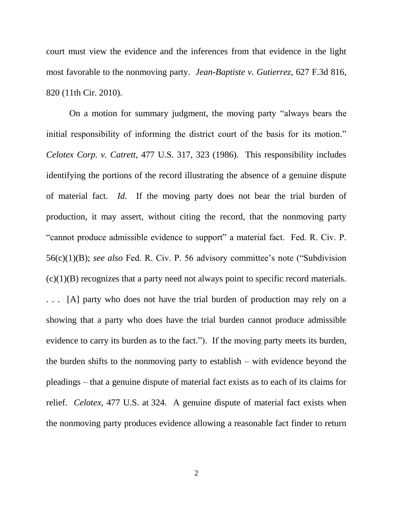court must view the evidence and the inferences from that evidence in the light most favorable to the nonmoving party. *Jean-Baptiste v. Gutierrez*, 627 F.3d 816, 820 (11th Cir. 2010).

On a motion for summary judgment, the moving party "always bears the initial responsibility of informing the district court of the basis for its motion." *Celotex Corp. v. Catrett*, 477 U.S. 317, 323 (1986). This responsibility includes identifying the portions of the record illustrating the absence of a genuine dispute of material fact. *Id*. If the moving party does not bear the trial burden of production, it may assert, without citing the record, that the nonmoving party "cannot produce admissible evidence to support" a material fact. Fed. R. Civ. P. 56(c)(1)(B); *see also* Fed. R. Civ. P. 56 advisory committee's note ("Subdivision  $(c)(1)(B)$  recognizes that a party need not always point to specific record materials. . . . [A] party who does not have the trial burden of production may rely on a showing that a party who does have the trial burden cannot produce admissible evidence to carry its burden as to the fact."). If the moving party meets its burden, the burden shifts to the nonmoving party to establish – with evidence beyond the pleadings – that a genuine dispute of material fact exists as to each of its claims for relief. *Celotex*, 477 U.S. at 324. A genuine dispute of material fact exists when the nonmoving party produces evidence allowing a reasonable fact finder to return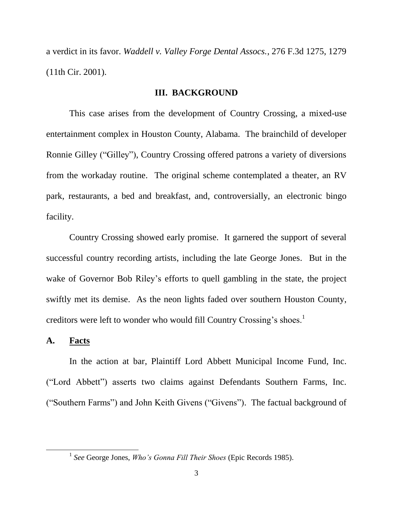a verdict in its favor. *Waddell v. Valley Forge Dental Assocs.*, 276 F.3d 1275, 1279 (11th Cir. 2001).

## **III. BACKGROUND**

This case arises from the development of Country Crossing, a mixed-use entertainment complex in Houston County, Alabama. The brainchild of developer Ronnie Gilley ("Gilley"), Country Crossing offered patrons a variety of diversions from the workaday routine. The original scheme contemplated a theater, an RV park, restaurants, a bed and breakfast, and, controversially, an electronic bingo facility.

Country Crossing showed early promise. It garnered the support of several successful country recording artists, including the late George Jones. But in the wake of Governor Bob Riley's efforts to quell gambling in the state, the project swiftly met its demise. As the neon lights faded over southern Houston County, creditors were left to wonder who would fill Country Crossing's shoes.<sup>1</sup>

#### **A. Facts**

l

In the action at bar, Plaintiff Lord Abbett Municipal Income Fund, Inc. ("Lord Abbett") asserts two claims against Defendants Southern Farms, Inc. ("Southern Farms") and John Keith Givens ("Givens"). The factual background of

<sup>1</sup> *See* George Jones, *Who's Gonna Fill Their Shoes* (Epic Records 1985).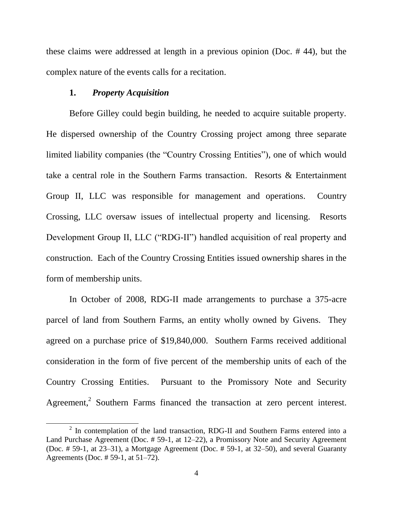these claims were addressed at length in a previous opinion (Doc. # 44), but the complex nature of the events calls for a recitation.

## **1.** *Property Acquisition*

 $\overline{a}$ 

Before Gilley could begin building, he needed to acquire suitable property. He dispersed ownership of the Country Crossing project among three separate limited liability companies (the "Country Crossing Entities"), one of which would take a central role in the Southern Farms transaction. Resorts & Entertainment Group II, LLC was responsible for management and operations. Country Crossing, LLC oversaw issues of intellectual property and licensing. Resorts Development Group II, LLC ("RDG-II") handled acquisition of real property and construction. Each of the Country Crossing Entities issued ownership shares in the form of membership units.

In October of 2008, RDG-II made arrangements to purchase a 375-acre parcel of land from Southern Farms, an entity wholly owned by Givens. They agreed on a purchase price of \$19,840,000. Southern Farms received additional consideration in the form of five percent of the membership units of each of the Country Crossing Entities. Pursuant to the Promissory Note and Security Agreement,<sup>2</sup> Southern Farms financed the transaction at zero percent interest.

 $2$  In contemplation of the land transaction, RDG-II and Southern Farms entered into a Land Purchase Agreement (Doc. # 59-1, at 12–22), a Promissory Note and Security Agreement (Doc. # 59-1, at 23–31), a Mortgage Agreement (Doc. # 59-1, at 32–50), and several Guaranty Agreements (Doc. # 59-1, at 51–72).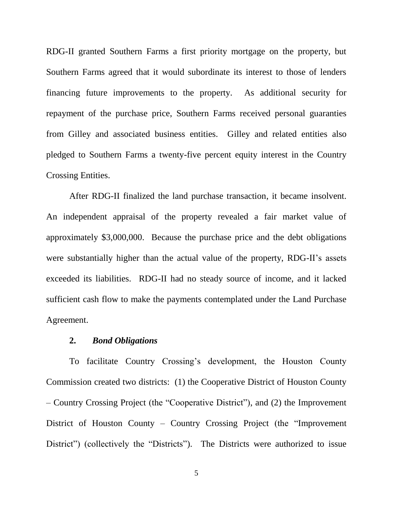RDG-II granted Southern Farms a first priority mortgage on the property, but Southern Farms agreed that it would subordinate its interest to those of lenders financing future improvements to the property. As additional security for repayment of the purchase price, Southern Farms received personal guaranties from Gilley and associated business entities. Gilley and related entities also pledged to Southern Farms a twenty-five percent equity interest in the Country Crossing Entities.

After RDG-II finalized the land purchase transaction, it became insolvent. An independent appraisal of the property revealed a fair market value of approximately \$3,000,000. Because the purchase price and the debt obligations were substantially higher than the actual value of the property, RDG-II's assets exceeded its liabilities. RDG-II had no steady source of income, and it lacked sufficient cash flow to make the payments contemplated under the Land Purchase Agreement.

## **2.** *Bond Obligations*

To facilitate Country Crossing's development, the Houston County Commission created two districts: (1) the Cooperative District of Houston County – Country Crossing Project (the "Cooperative District"), and (2) the Improvement District of Houston County – Country Crossing Project (the "Improvement District") (collectively the "Districts"). The Districts were authorized to issue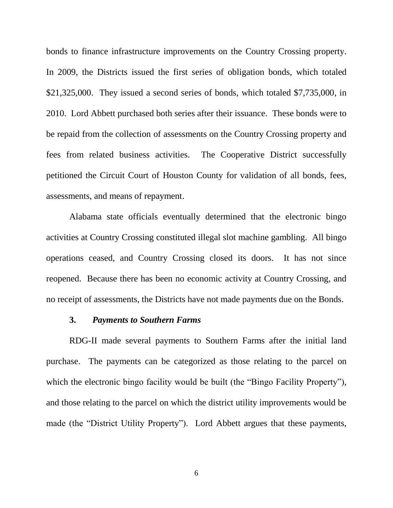bonds to finance infrastructure improvements on the Country Crossing property. In 2009, the Districts issued the first series of obligation bonds, which totaled \$21,325,000. They issued a second series of bonds, which totaled \$7,735,000, in 2010. Lord Abbett purchased both series after their issuance. These bonds were to be repaid from the collection of assessments on the Country Crossing property and fees from related business activities. The Cooperative District successfully petitioned the Circuit Court of Houston County for validation of all bonds, fees, assessments, and means of repayment.

Alabama state officials eventually determined that the electronic bingo activities at Country Crossing constituted illegal slot machine gambling. All bingo operations ceased, and Country Crossing closed its doors. It has not since reopened. Because there has been no economic activity at Country Crossing, and no receipt of assessments, the Districts have not made payments due on the Bonds.

#### **3.** *Payments to Southern Farms*

RDG-II made several payments to Southern Farms after the initial land purchase. The payments can be categorized as those relating to the parcel on which the electronic bingo facility would be built (the "Bingo Facility Property"), and those relating to the parcel on which the district utility improvements would be made (the "District Utility Property"). Lord Abbett argues that these payments,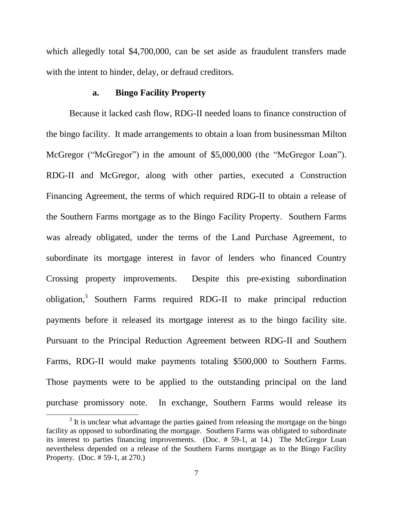which allegedly total \$4,700,000, can be set aside as fraudulent transfers made with the intent to hinder, delay, or defraud creditors.

## **a. Bingo Facility Property**

Because it lacked cash flow, RDG-II needed loans to finance construction of the bingo facility. It made arrangements to obtain a loan from businessman Milton McGregor ("McGregor") in the amount of \$5,000,000 (the "McGregor Loan"). RDG-II and McGregor, along with other parties, executed a Construction Financing Agreement, the terms of which required RDG-II to obtain a release of the Southern Farms mortgage as to the Bingo Facility Property. Southern Farms was already obligated, under the terms of the Land Purchase Agreement, to subordinate its mortgage interest in favor of lenders who financed Country Crossing property improvements. Despite this pre-existing subordination obligation,<sup>3</sup> Southern Farms required RDG-II to make principal reduction payments before it released its mortgage interest as to the bingo facility site. Pursuant to the Principal Reduction Agreement between RDG-II and Southern Farms, RDG-II would make payments totaling \$500,000 to Southern Farms. Those payments were to be applied to the outstanding principal on the land purchase promissory note. In exchange, Southern Farms would release its

 $3$  It is unclear what advantage the parties gained from releasing the mortgage on the bingo facility as opposed to subordinating the mortgage. Southern Farms was obligated to subordinate its interest to parties financing improvements. (Doc. # 59-1, at 14.) The McGregor Loan nevertheless depended on a release of the Southern Farms mortgage as to the Bingo Facility Property. (Doc. # 59-1, at 270.)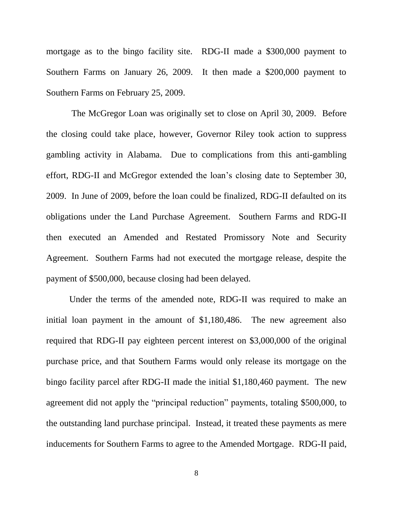mortgage as to the bingo facility site. RDG-II made a \$300,000 payment to Southern Farms on January 26, 2009. It then made a \$200,000 payment to Southern Farms on February 25, 2009.

The McGregor Loan was originally set to close on April 30, 2009. Before the closing could take place, however, Governor Riley took action to suppress gambling activity in Alabama. Due to complications from this anti-gambling effort, RDG-II and McGregor extended the loan's closing date to September 30, 2009. In June of 2009, before the loan could be finalized, RDG-II defaulted on its obligations under the Land Purchase Agreement. Southern Farms and RDG-II then executed an Amended and Restated Promissory Note and Security Agreement. Southern Farms had not executed the mortgage release, despite the payment of \$500,000, because closing had been delayed.

Under the terms of the amended note, RDG-II was required to make an initial loan payment in the amount of \$1,180,486. The new agreement also required that RDG-II pay eighteen percent interest on \$3,000,000 of the original purchase price, and that Southern Farms would only release its mortgage on the bingo facility parcel after RDG-II made the initial \$1,180,460 payment. The new agreement did not apply the "principal reduction" payments, totaling \$500,000, to the outstanding land purchase principal. Instead, it treated these payments as mere inducements for Southern Farms to agree to the Amended Mortgage. RDG-II paid,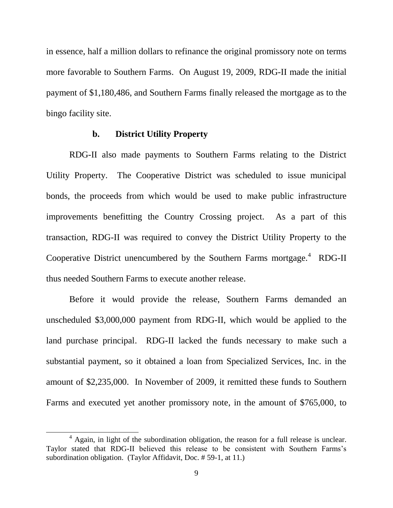in essence, half a million dollars to refinance the original promissory note on terms more favorable to Southern Farms. On August 19, 2009, RDG-II made the initial payment of \$1,180,486, and Southern Farms finally released the mortgage as to the bingo facility site.

## **b. District Utility Property**

RDG-II also made payments to Southern Farms relating to the District Utility Property. The Cooperative District was scheduled to issue municipal bonds, the proceeds from which would be used to make public infrastructure improvements benefitting the Country Crossing project. As a part of this transaction, RDG-II was required to convey the District Utility Property to the Cooperative District unencumbered by the Southern Farms mortgage. $4$  RDG-II thus needed Southern Farms to execute another release.

Before it would provide the release, Southern Farms demanded an unscheduled \$3,000,000 payment from RDG-II, which would be applied to the land purchase principal. RDG-II lacked the funds necessary to make such a substantial payment, so it obtained a loan from Specialized Services, Inc. in the amount of \$2,235,000. In November of 2009, it remitted these funds to Southern Farms and executed yet another promissory note, in the amount of \$765,000, to

 $<sup>4</sup>$  Again, in light of the subordination obligation, the reason for a full release is unclear.</sup> Taylor stated that RDG-II believed this release to be consistent with Southern Farms's subordination obligation. (Taylor Affidavit, Doc. # 59-1, at 11.)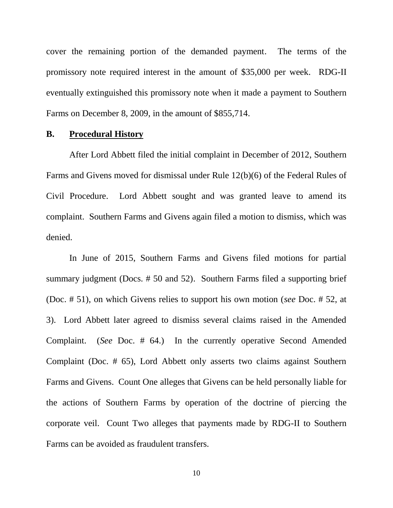cover the remaining portion of the demanded payment. The terms of the promissory note required interest in the amount of \$35,000 per week. RDG-II eventually extinguished this promissory note when it made a payment to Southern Farms on December 8, 2009, in the amount of \$855,714.

## **B. Procedural History**

After Lord Abbett filed the initial complaint in December of 2012, Southern Farms and Givens moved for dismissal under Rule 12(b)(6) of the Federal Rules of Civil Procedure. Lord Abbett sought and was granted leave to amend its complaint. Southern Farms and Givens again filed a motion to dismiss, which was denied.

In June of 2015, Southern Farms and Givens filed motions for partial summary judgment (Docs. # 50 and 52). Southern Farms filed a supporting brief (Doc. # 51), on which Givens relies to support his own motion (*see* Doc. # 52, at 3). Lord Abbett later agreed to dismiss several claims raised in the Amended Complaint. (*See* Doc. # 64.) In the currently operative Second Amended Complaint (Doc. # 65), Lord Abbett only asserts two claims against Southern Farms and Givens. Count One alleges that Givens can be held personally liable for the actions of Southern Farms by operation of the doctrine of piercing the corporate veil. Count Two alleges that payments made by RDG-II to Southern Farms can be avoided as fraudulent transfers.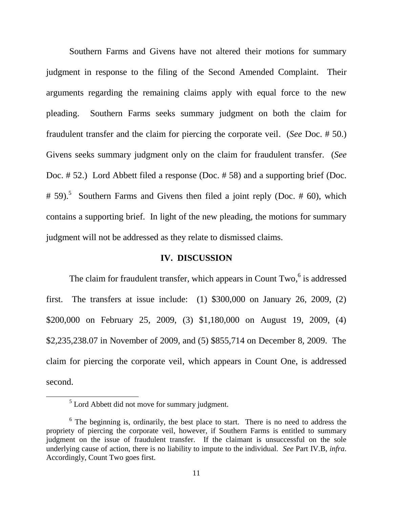Southern Farms and Givens have not altered their motions for summary judgment in response to the filing of the Second Amended Complaint. Their arguments regarding the remaining claims apply with equal force to the new pleading. Southern Farms seeks summary judgment on both the claim for fraudulent transfer and the claim for piercing the corporate veil. (*See* Doc. # 50.) Givens seeks summary judgment only on the claim for fraudulent transfer. (*See* Doc. # 52.) Lord Abbett filed a response (Doc. # 58) and a supporting brief (Doc. # 59).<sup>5</sup> Southern Farms and Givens then filed a joint reply (Doc. # 60), which contains a supporting brief. In light of the new pleading, the motions for summary judgment will not be addressed as they relate to dismissed claims.

# **IV. DISCUSSION**

The claim for fraudulent transfer, which appears in Count Two,<sup>6</sup> is addressed first. The transfers at issue include:  $(1)$  \$300,000 on January 26, 2009,  $(2)$ \$200,000 on February 25, 2009, (3) \$1,180,000 on August 19, 2009, (4) \$2,235,238.07 in November of 2009, and (5) \$855,714 on December 8, 2009. The claim for piercing the corporate veil, which appears in Count One, is addressed second.

 $<sup>5</sup>$  Lord Abbett did not move for summary judgment.</sup>

<sup>&</sup>lt;sup>6</sup> The beginning is, ordinarily, the best place to start. There is no need to address the propriety of piercing the corporate veil, however, if Southern Farms is entitled to summary judgment on the issue of fraudulent transfer. If the claimant is unsuccessful on the sole underlying cause of action, there is no liability to impute to the individual. *See* Part IV.B, *infra*. Accordingly, Count Two goes first.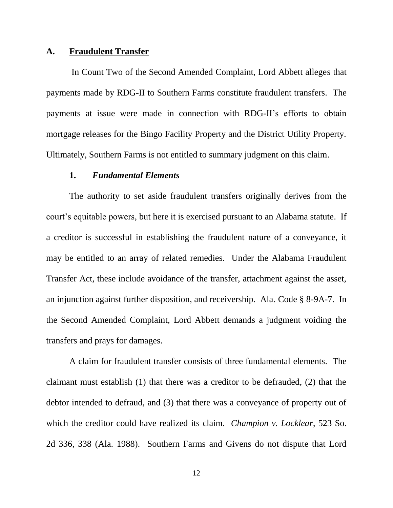#### **A. Fraudulent Transfer**

In Count Two of the Second Amended Complaint, Lord Abbett alleges that payments made by RDG-II to Southern Farms constitute fraudulent transfers. The payments at issue were made in connection with RDG-II's efforts to obtain mortgage releases for the Bingo Facility Property and the District Utility Property. Ultimately, Southern Farms is not entitled to summary judgment on this claim.

## **1.** *Fundamental Elements*

The authority to set aside fraudulent transfers originally derives from the court's equitable powers, but here it is exercised pursuant to an Alabama statute. If a creditor is successful in establishing the fraudulent nature of a conveyance, it may be entitled to an array of related remedies. Under the Alabama Fraudulent Transfer Act, these include avoidance of the transfer, attachment against the asset, an injunction against further disposition, and receivership. Ala. Code § 8-9A-7. In the Second Amended Complaint, Lord Abbett demands a judgment voiding the transfers and prays for damages.

A claim for fraudulent transfer consists of three fundamental elements. The claimant must establish (1) that there was a creditor to be defrauded, (2) that the debtor intended to defraud, and (3) that there was a conveyance of property out of which the creditor could have realized its claim. *Champion v. Locklear*, 523 So. 2d 336, 338 (Ala. 1988). Southern Farms and Givens do not dispute that Lord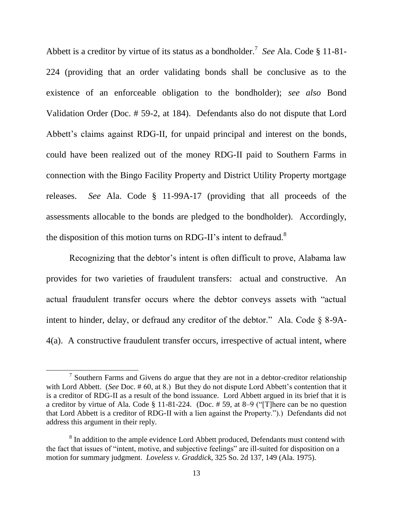Abbett is a creditor by virtue of its status as a bondholder.<sup>7</sup> *See* Ala. Code § 11-81- 224 (providing that an order validating bonds shall be conclusive as to the existence of an enforceable obligation to the bondholder); *see also* Bond Validation Order (Doc. # 59-2, at 184). Defendants also do not dispute that Lord Abbett's claims against RDG-II, for unpaid principal and interest on the bonds, could have been realized out of the money RDG-II paid to Southern Farms in connection with the Bingo Facility Property and District Utility Property mortgage releases. *See* Ala. Code § 11-99A-17 (providing that all proceeds of the assessments allocable to the bonds are pledged to the bondholder). Accordingly, the disposition of this motion turns on RDG-II's intent to defraud.<sup>8</sup>

Recognizing that the debtor's intent is often difficult to prove, Alabama law provides for two varieties of fraudulent transfers: actual and constructive. An actual fraudulent transfer occurs where the debtor conveys assets with "actual intent to hinder, delay, or defraud any creditor of the debtor." Ala. Code § 8-9A-4(a). A constructive fraudulent transfer occurs, irrespective of actual intent, where

 $7$  Southern Farms and Givens do argue that they are not in a debtor-creditor relationship with Lord Abbett. (*See* Doc. # 60, at 8.) But they do not dispute Lord Abbett's contention that it is a creditor of RDG-II as a result of the bond issuance. Lord Abbett argued in its brief that it is a creditor by virtue of Ala. Code § 11-81-224. (Doc. # 59, at 8–9 ("[T]here can be no question that Lord Abbett is a creditor of RDG-II with a lien against the Property.").) Defendants did not address this argument in their reply.

 $8 \text{ In addition to the ample evidence Lord Abbott produced, Defendants must contend with }$ the fact that issues of "intent, motive, and subjective feelings" are ill-suited for disposition on a motion for summary judgment. *Loveless v. Graddick*, 325 So. 2d 137, 149 (Ala. 1975).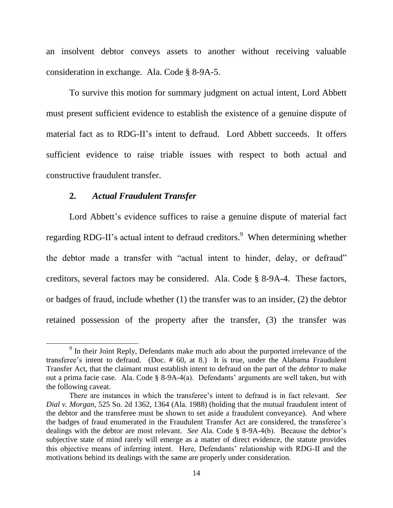an insolvent debtor conveys assets to another without receiving valuable consideration in exchange. Ala. Code § 8-9A-5.

To survive this motion for summary judgment on actual intent, Lord Abbett must present sufficient evidence to establish the existence of a genuine dispute of material fact as to RDG-II's intent to defraud. Lord Abbett succeeds. It offers sufficient evidence to raise triable issues with respect to both actual and constructive fraudulent transfer.

## **2.** *Actual Fraudulent Transfer*

 $\overline{a}$ 

Lord Abbett's evidence suffices to raise a genuine dispute of material fact regarding RDG-II's actual intent to defraud creditors.<sup>9</sup> When determining whether the debtor made a transfer with "actual intent to hinder, delay, or defraud" creditors, several factors may be considered. Ala. Code § 8-9A-4. These factors, or badges of fraud, include whether (1) the transfer was to an insider, (2) the debtor retained possession of the property after the transfer, (3) the transfer was

<sup>&</sup>lt;sup>9</sup> In their Joint Reply, Defendants make much ado about the purported irrelevance of the transferee's intent to defraud. (Doc. # 60, at 8.) It is true, under the Alabama Fraudulent Transfer Act, that the claimant must establish intent to defraud on the part of the *debtor* to make out a prima facie case. Ala. Code § 8-9A-4(a). Defendants' arguments are well taken, but with the following caveat.

There are instances in which the transferee's intent to defraud is in fact relevant. *See Dial v. Morgan*, 525 So. 2d 1362, 1364 (Ala. 1988) (holding that the mutual fraudulent intent of the debtor and the transferee must be shown to set aside a fraudulent conveyance). And where the badges of fraud enumerated in the Fraudulent Transfer Act are considered, the transferee's dealings with the debtor are most relevant. *See* Ala. Code § 8-9A-4(b). Because the debtor's subjective state of mind rarely will emerge as a matter of direct evidence, the statute provides this objective means of inferring intent. Here, Defendants' relationship with RDG-II and the motivations behind its dealings with the same are properly under consideration.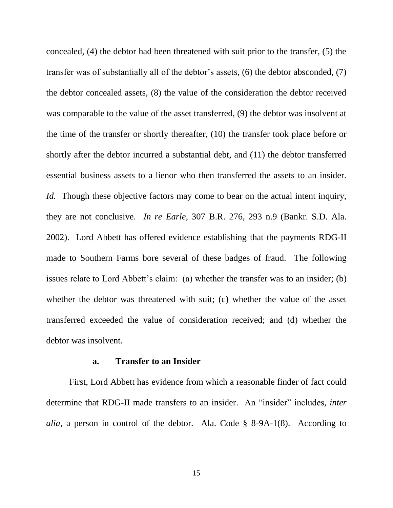concealed, (4) the debtor had been threatened with suit prior to the transfer, (5) the transfer was of substantially all of the debtor's assets, (6) the debtor absconded, (7) the debtor concealed assets, (8) the value of the consideration the debtor received was comparable to the value of the asset transferred, (9) the debtor was insolvent at the time of the transfer or shortly thereafter, (10) the transfer took place before or shortly after the debtor incurred a substantial debt, and (11) the debtor transferred essential business assets to a lienor who then transferred the assets to an insider. *Id.* Though these objective factors may come to bear on the actual intent inquiry, they are not conclusive. *In re Earle*, 307 B.R. 276, 293 n.9 (Bankr. S.D. Ala. 2002). Lord Abbett has offered evidence establishing that the payments RDG-II made to Southern Farms bore several of these badges of fraud. The following issues relate to Lord Abbett's claim: (a) whether the transfer was to an insider; (b) whether the debtor was threatened with suit; (c) whether the value of the asset transferred exceeded the value of consideration received; and (d) whether the debtor was insolvent.

## **a. Transfer to an Insider**

First, Lord Abbett has evidence from which a reasonable finder of fact could determine that RDG-II made transfers to an insider. An "insider" includes, *inter alia*, a person in control of the debtor. Ala. Code § 8-9A-1(8). According to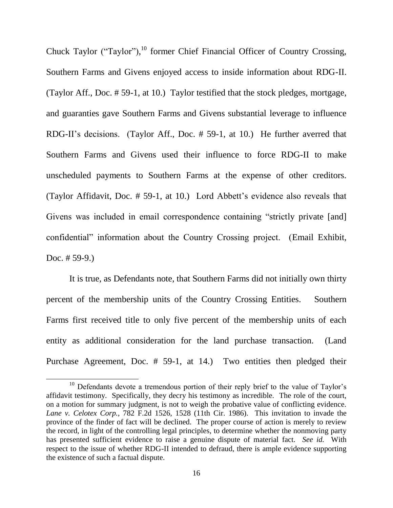Chuck Taylor ("Taylor"), $^{10}$  former Chief Financial Officer of Country Crossing, Southern Farms and Givens enjoyed access to inside information about RDG-II. (Taylor Aff., Doc. # 59-1, at 10.) Taylor testified that the stock pledges, mortgage, and guaranties gave Southern Farms and Givens substantial leverage to influence RDG-II's decisions. (Taylor Aff., Doc. # 59-1, at 10.) He further averred that Southern Farms and Givens used their influence to force RDG-II to make unscheduled payments to Southern Farms at the expense of other creditors. (Taylor Affidavit, Doc. # 59-1, at 10.) Lord Abbett's evidence also reveals that Givens was included in email correspondence containing "strictly private [and] confidential" information about the Country Crossing project. (Email Exhibit, Doc. # 59-9.)

It is true, as Defendants note, that Southern Farms did not initially own thirty percent of the membership units of the Country Crossing Entities. Southern Farms first received title to only five percent of the membership units of each entity as additional consideration for the land purchase transaction. (Land Purchase Agreement, Doc. # 59-1, at 14.) Two entities then pledged their

<sup>&</sup>lt;sup>10</sup> Defendants devote a tremendous portion of their reply brief to the value of Taylor's affidavit testimony. Specifically, they decry his testimony as incredible. The role of the court, on a motion for summary judgment, is not to weigh the probative value of conflicting evidence. *Lane v. Celotex Corp.*, 782 F.2d 1526, 1528 (11th Cir. 1986). This invitation to invade the province of the finder of fact will be declined. The proper course of action is merely to review the record, in light of the controlling legal principles, to determine whether the nonmoving party has presented sufficient evidence to raise a genuine dispute of material fact. *See id.* With respect to the issue of whether RDG-II intended to defraud, there is ample evidence supporting the existence of such a factual dispute.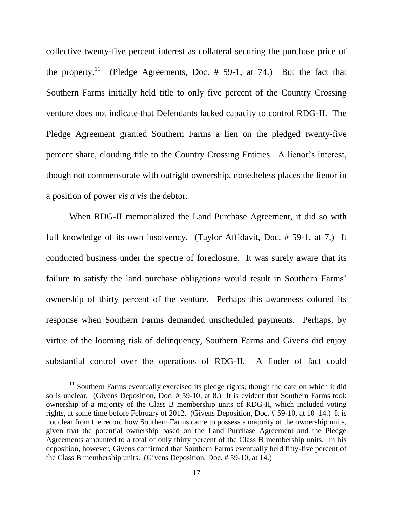collective twenty-five percent interest as collateral securing the purchase price of the property. $^{11}$  (Pledge Agreements, Doc. # 59-1, at 74.) But the fact that Southern Farms initially held title to only five percent of the Country Crossing venture does not indicate that Defendants lacked capacity to control RDG-II. The Pledge Agreement granted Southern Farms a lien on the pledged twenty-five percent share, clouding title to the Country Crossing Entities. A lienor's interest, though not commensurate with outright ownership, nonetheless places the lienor in a position of power *vis a vis* the debtor.

When RDG-II memorialized the Land Purchase Agreement, it did so with full knowledge of its own insolvency. (Taylor Affidavit, Doc. # 59-1, at 7.) It conducted business under the spectre of foreclosure. It was surely aware that its failure to satisfy the land purchase obligations would result in Southern Farms' ownership of thirty percent of the venture. Perhaps this awareness colored its response when Southern Farms demanded unscheduled payments. Perhaps, by virtue of the looming risk of delinquency, Southern Farms and Givens did enjoy substantial control over the operations of RDG-II. A finder of fact could

<sup>&</sup>lt;sup>11</sup> Southern Farms eventually exercised its pledge rights, though the date on which it did so is unclear. (Givens Deposition, Doc. # 59-10, at 8.) It is evident that Southern Farms took ownership of a majority of the Class B membership units of RDG-II, which included voting rights, at some time before February of 2012. (Givens Deposition, Doc. # 59-10, at 10–14.) It is not clear from the record how Southern Farms came to possess a majority of the ownership units, given that the potential ownership based on the Land Purchase Agreement and the Pledge Agreements amounted to a total of only thirty percent of the Class B membership units. In his deposition, however, Givens confirmed that Southern Farms eventually held fifty-five percent of the Class B membership units. (Givens Deposition, Doc. # 59-10, at 14.)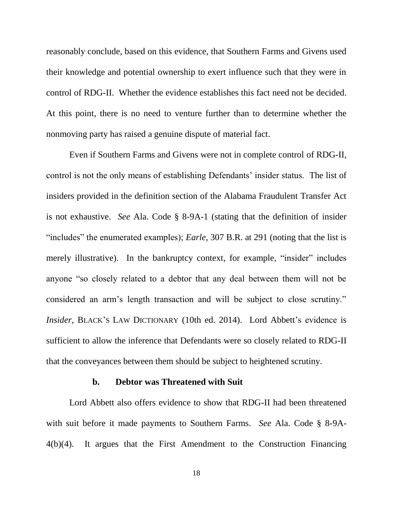reasonably conclude, based on this evidence, that Southern Farms and Givens used their knowledge and potential ownership to exert influence such that they were in control of RDG-II. Whether the evidence establishes this fact need not be decided. At this point, there is no need to venture further than to determine whether the nonmoving party has raised a genuine dispute of material fact.

Even if Southern Farms and Givens were not in complete control of RDG-II, control is not the only means of establishing Defendants' insider status. The list of insiders provided in the definition section of the Alabama Fraudulent Transfer Act is not exhaustive. *See* Ala. Code § 8-9A-1 (stating that the definition of insider "includes" the enumerated examples); *Earle*, 307 B.R. at 291 (noting that the list is merely illustrative). In the bankruptcy context, for example, "insider" includes anyone "so closely related to a debtor that any deal between them will not be considered an arm's length transaction and will be subject to close scrutiny." *Insider*, BLACK's LAW DICTIONARY (10th ed. 2014). Lord Abbett's evidence is sufficient to allow the inference that Defendants were so closely related to RDG-II that the conveyances between them should be subject to heightened scrutiny.

#### **b. Debtor was Threatened with Suit**

Lord Abbett also offers evidence to show that RDG-II had been threatened with suit before it made payments to Southern Farms. *See* Ala. Code § 8-9A-4(b)(4). It argues that the First Amendment to the Construction Financing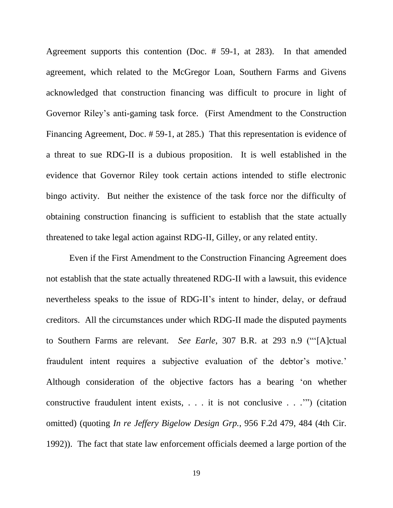Agreement supports this contention (Doc. # 59-1, at 283). In that amended agreement, which related to the McGregor Loan, Southern Farms and Givens acknowledged that construction financing was difficult to procure in light of Governor Riley's anti-gaming task force. (First Amendment to the Construction Financing Agreement, Doc. # 59-1, at 285.) That this representation is evidence of a threat to sue RDG-II is a dubious proposition. It is well established in the evidence that Governor Riley took certain actions intended to stifle electronic bingo activity. But neither the existence of the task force nor the difficulty of obtaining construction financing is sufficient to establish that the state actually threatened to take legal action against RDG-II, Gilley, or any related entity.

Even if the First Amendment to the Construction Financing Agreement does not establish that the state actually threatened RDG-II with a lawsuit, this evidence nevertheless speaks to the issue of RDG-II's intent to hinder, delay, or defraud creditors. All the circumstances under which RDG-II made the disputed payments to Southern Farms are relevant*. See Earle*, 307 B.R. at 293 n.9 ("'[A]ctual fraudulent intent requires a subjective evaluation of the debtor's motive.' Although consideration of the objective factors has a bearing 'on whether constructive fraudulent intent exists, . . . it is not conclusive . . .'") (citation omitted) (quoting *In re Jeffery Bigelow Design Grp.*, 956 F.2d 479, 484 (4th Cir. 1992)). The fact that state law enforcement officials deemed a large portion of the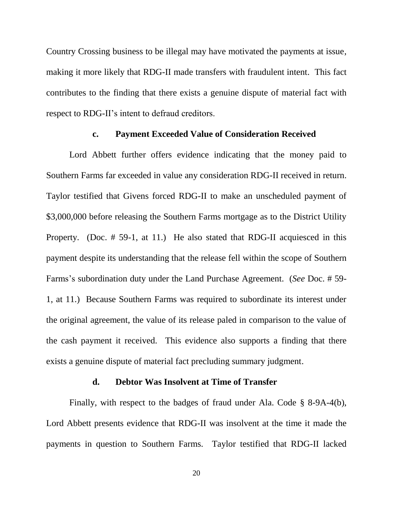Country Crossing business to be illegal may have motivated the payments at issue, making it more likely that RDG-II made transfers with fraudulent intent. This fact contributes to the finding that there exists a genuine dispute of material fact with respect to RDG-II's intent to defraud creditors.

#### **c. Payment Exceeded Value of Consideration Received**

Lord Abbett further offers evidence indicating that the money paid to Southern Farms far exceeded in value any consideration RDG-II received in return. Taylor testified that Givens forced RDG-II to make an unscheduled payment of \$3,000,000 before releasing the Southern Farms mortgage as to the District Utility Property. (Doc. # 59-1, at 11.) He also stated that RDG-II acquiesced in this payment despite its understanding that the release fell within the scope of Southern Farms's subordination duty under the Land Purchase Agreement. (*See* Doc. # 59- 1, at 11.) Because Southern Farms was required to subordinate its interest under the original agreement, the value of its release paled in comparison to the value of the cash payment it received. This evidence also supports a finding that there exists a genuine dispute of material fact precluding summary judgment.

#### **d. Debtor Was Insolvent at Time of Transfer**

Finally, with respect to the badges of fraud under Ala. Code § 8-9A-4(b), Lord Abbett presents evidence that RDG-II was insolvent at the time it made the payments in question to Southern Farms. Taylor testified that RDG-II lacked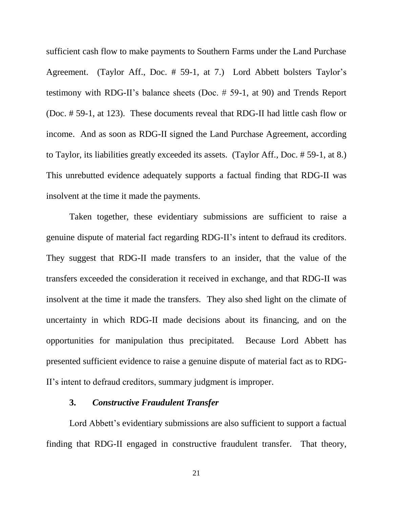sufficient cash flow to make payments to Southern Farms under the Land Purchase Agreement. (Taylor Aff., Doc. # 59-1, at 7.) Lord Abbett bolsters Taylor's testimony with RDG-II's balance sheets (Doc. # 59-1, at 90) and Trends Report (Doc. # 59-1, at 123). These documents reveal that RDG-II had little cash flow or income. And as soon as RDG-II signed the Land Purchase Agreement, according to Taylor, its liabilities greatly exceeded its assets. (Taylor Aff., Doc. # 59-1, at 8.) This unrebutted evidence adequately supports a factual finding that RDG-II was insolvent at the time it made the payments.

Taken together, these evidentiary submissions are sufficient to raise a genuine dispute of material fact regarding RDG-II's intent to defraud its creditors. They suggest that RDG-II made transfers to an insider, that the value of the transfers exceeded the consideration it received in exchange, and that RDG-II was insolvent at the time it made the transfers. They also shed light on the climate of uncertainty in which RDG-II made decisions about its financing, and on the opportunities for manipulation thus precipitated. Because Lord Abbett has presented sufficient evidence to raise a genuine dispute of material fact as to RDG-II's intent to defraud creditors, summary judgment is improper.

## **3.** *Constructive Fraudulent Transfer*

Lord Abbett's evidentiary submissions are also sufficient to support a factual finding that RDG-II engaged in constructive fraudulent transfer. That theory,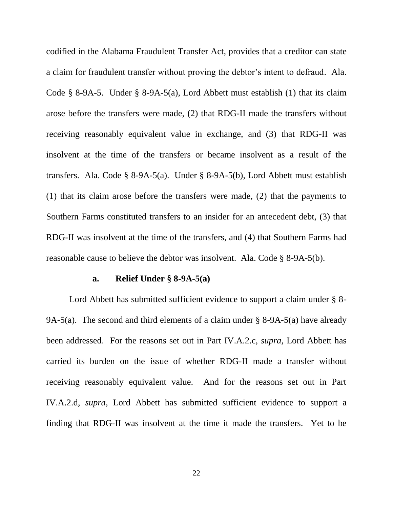codified in the Alabama Fraudulent Transfer Act, provides that a creditor can state a claim for fraudulent transfer without proving the debtor's intent to defraud. Ala. Code § 8-9A-5. Under § 8-9A-5(a), Lord Abbett must establish (1) that its claim arose before the transfers were made, (2) that RDG-II made the transfers without receiving reasonably equivalent value in exchange, and (3) that RDG-II was insolvent at the time of the transfers or became insolvent as a result of the transfers. Ala. Code § 8-9A-5(a). Under § 8-9A-5(b), Lord Abbett must establish (1) that its claim arose before the transfers were made, (2) that the payments to Southern Farms constituted transfers to an insider for an antecedent debt, (3) that RDG-II was insolvent at the time of the transfers, and (4) that Southern Farms had reasonable cause to believe the debtor was insolvent. Ala. Code § 8-9A-5(b).

#### **a. Relief Under § 8-9A-5(a)**

Lord Abbett has submitted sufficient evidence to support a claim under § 8-9A-5(a). The second and third elements of a claim under § 8-9A-5(a) have already been addressed. For the reasons set out in Part IV.A.2.c, *supra*, Lord Abbett has carried its burden on the issue of whether RDG-II made a transfer without receiving reasonably equivalent value. And for the reasons set out in Part IV.A.2.d, *supra*, Lord Abbett has submitted sufficient evidence to support a finding that RDG-II was insolvent at the time it made the transfers. Yet to be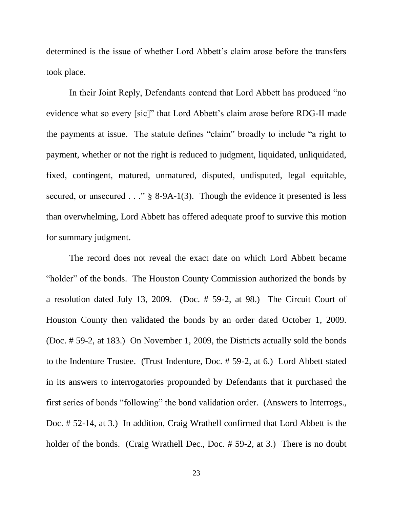determined is the issue of whether Lord Abbett's claim arose before the transfers took place.

In their Joint Reply, Defendants contend that Lord Abbett has produced "no evidence what so every [sic]" that Lord Abbett's claim arose before RDG-II made the payments at issue. The statute defines "claim" broadly to include "a right to payment, whether or not the right is reduced to judgment, liquidated, unliquidated, fixed, contingent, matured, unmatured, disputed, undisputed, legal equitable, secured, or unsecured . . ." § 8-9A-1(3). Though the evidence it presented is less than overwhelming, Lord Abbett has offered adequate proof to survive this motion for summary judgment.

The record does not reveal the exact date on which Lord Abbett became "holder" of the bonds. The Houston County Commission authorized the bonds by a resolution dated July 13, 2009. (Doc. # 59-2, at 98.) The Circuit Court of Houston County then validated the bonds by an order dated October 1, 2009. (Doc. # 59-2, at 183.) On November 1, 2009, the Districts actually sold the bonds to the Indenture Trustee. (Trust Indenture, Doc. # 59-2, at 6.) Lord Abbett stated in its answers to interrogatories propounded by Defendants that it purchased the first series of bonds "following" the bond validation order. (Answers to Interrogs., Doc. # 52-14, at 3.) In addition, Craig Wrathell confirmed that Lord Abbett is the holder of the bonds. (Craig Wrathell Dec., Doc. #59-2, at 3.) There is no doubt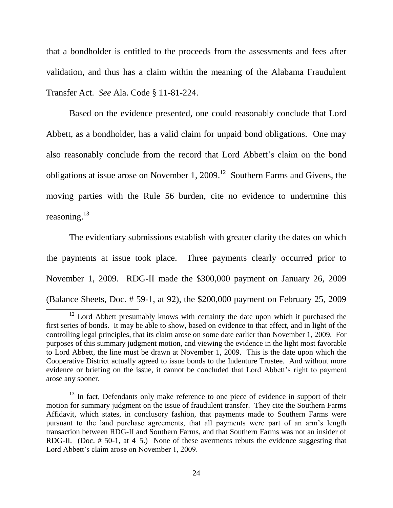that a bondholder is entitled to the proceeds from the assessments and fees after validation, and thus has a claim within the meaning of the Alabama Fraudulent Transfer Act. *See* Ala. Code § 11-81-224.

Based on the evidence presented, one could reasonably conclude that Lord Abbett, as a bondholder, has a valid claim for unpaid bond obligations. One may also reasonably conclude from the record that Lord Abbett's claim on the bond obligations at issue arose on November 1, 2009.<sup>12</sup> Southern Farms and Givens, the moving parties with the Rule 56 burden, cite no evidence to undermine this reasoning.<sup>13</sup>

The evidentiary submissions establish with greater clarity the dates on which the payments at issue took place. Three payments clearly occurred prior to November 1, 2009. RDG-II made the \$300,000 payment on January 26, 2009 (Balance Sheets, Doc. # 59-1, at 92), the \$200,000 payment on February 25, 2009

<sup>&</sup>lt;sup>12</sup> Lord Abbett presumably knows with certainty the date upon which it purchased the first series of bonds. It may be able to show, based on evidence to that effect, and in light of the controlling legal principles, that its claim arose on some date earlier than November 1, 2009. For purposes of this summary judgment motion, and viewing the evidence in the light most favorable to Lord Abbett, the line must be drawn at November 1, 2009. This is the date upon which the Cooperative District actually agreed to issue bonds to the Indenture Trustee. And without more evidence or briefing on the issue, it cannot be concluded that Lord Abbett's right to payment arose any sooner.

 $13$  In fact, Defendants only make reference to one piece of evidence in support of their motion for summary judgment on the issue of fraudulent transfer. They cite the Southern Farms Affidavit, which states, in conclusory fashion, that payments made to Southern Farms were pursuant to the land purchase agreements, that all payments were part of an arm's length transaction between RDG-II and Southern Farms, and that Southern Farms was not an insider of RDG-II. (Doc. # 50-1, at 4–5.) None of these averments rebuts the evidence suggesting that Lord Abbett's claim arose on November 1, 2009.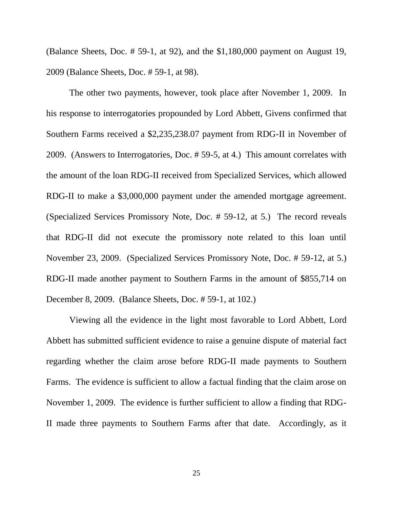(Balance Sheets, Doc. # 59-1, at 92), and the \$1,180,000 payment on August 19, 2009 (Balance Sheets, Doc. # 59-1, at 98).

The other two payments, however, took place after November 1, 2009. In his response to interrogatories propounded by Lord Abbett, Givens confirmed that Southern Farms received a \$2,235,238.07 payment from RDG-II in November of 2009. (Answers to Interrogatories, Doc. # 59-5, at 4.) This amount correlates with the amount of the loan RDG-II received from Specialized Services, which allowed RDG-II to make a \$3,000,000 payment under the amended mortgage agreement. (Specialized Services Promissory Note, Doc. # 59-12, at 5.) The record reveals that RDG-II did not execute the promissory note related to this loan until November 23, 2009. (Specialized Services Promissory Note, Doc. # 59-12, at 5.) RDG-II made another payment to Southern Farms in the amount of \$855,714 on December 8, 2009. (Balance Sheets, Doc. # 59-1, at 102.)

Viewing all the evidence in the light most favorable to Lord Abbett, Lord Abbett has submitted sufficient evidence to raise a genuine dispute of material fact regarding whether the claim arose before RDG-II made payments to Southern Farms. The evidence is sufficient to allow a factual finding that the claim arose on November 1, 2009. The evidence is further sufficient to allow a finding that RDG-II made three payments to Southern Farms after that date. Accordingly, as it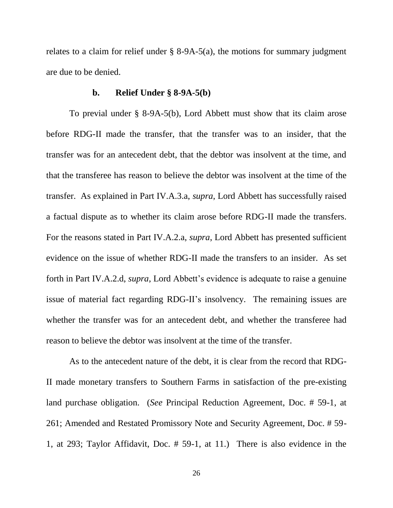relates to a claim for relief under  $\S$  8-9A-5(a), the motions for summary judgment are due to be denied.

## **b. Relief Under § 8-9A-5(b)**

To previal under § 8-9A-5(b), Lord Abbett must show that its claim arose before RDG-II made the transfer, that the transfer was to an insider, that the transfer was for an antecedent debt, that the debtor was insolvent at the time, and that the transferee has reason to believe the debtor was insolvent at the time of the transfer. As explained in Part IV.A.3.a, *supra*, Lord Abbett has successfully raised a factual dispute as to whether its claim arose before RDG-II made the transfers. For the reasons stated in Part IV.A.2.a, *supra*, Lord Abbett has presented sufficient evidence on the issue of whether RDG-II made the transfers to an insider. As set forth in Part IV.A.2.d, *supra*, Lord Abbett's evidence is adequate to raise a genuine issue of material fact regarding RDG-II's insolvency. The remaining issues are whether the transfer was for an antecedent debt, and whether the transferee had reason to believe the debtor was insolvent at the time of the transfer.

As to the antecedent nature of the debt, it is clear from the record that RDG-II made monetary transfers to Southern Farms in satisfaction of the pre-existing land purchase obligation. (*See* Principal Reduction Agreement, Doc. # 59-1, at 261; Amended and Restated Promissory Note and Security Agreement, Doc. # 59- 1, at 293; Taylor Affidavit, Doc. # 59-1, at 11.) There is also evidence in the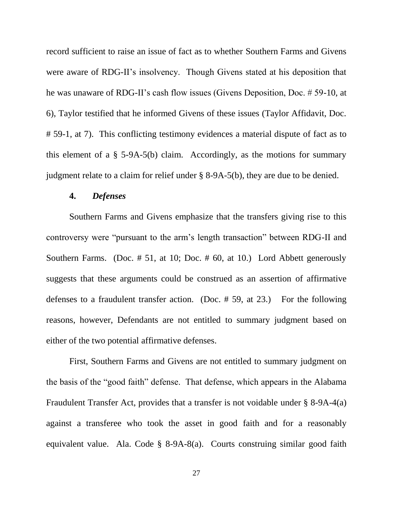record sufficient to raise an issue of fact as to whether Southern Farms and Givens were aware of RDG-II's insolvency. Though Givens stated at his deposition that he was unaware of RDG-II's cash flow issues (Givens Deposition, Doc. # 59-10, at 6), Taylor testified that he informed Givens of these issues (Taylor Affidavit, Doc. # 59-1, at 7). This conflicting testimony evidences a material dispute of fact as to this element of a § 5-9A-5(b) claim. Accordingly, as the motions for summary judgment relate to a claim for relief under § 8-9A-5(b), they are due to be denied.

# **4.** *Defenses*

Southern Farms and Givens emphasize that the transfers giving rise to this controversy were "pursuant to the arm's length transaction" between RDG-II and Southern Farms. (Doc. # 51, at 10; Doc. # 60, at 10.) Lord Abbett generously suggests that these arguments could be construed as an assertion of affirmative defenses to a fraudulent transfer action. (Doc. # 59, at 23.) For the following reasons, however, Defendants are not entitled to summary judgment based on either of the two potential affirmative defenses.

First, Southern Farms and Givens are not entitled to summary judgment on the basis of the "good faith" defense. That defense, which appears in the Alabama Fraudulent Transfer Act, provides that a transfer is not voidable under § 8-9A-4(a) against a transferee who took the asset in good faith and for a reasonably equivalent value. Ala. Code § 8-9A-8(a). Courts construing similar good faith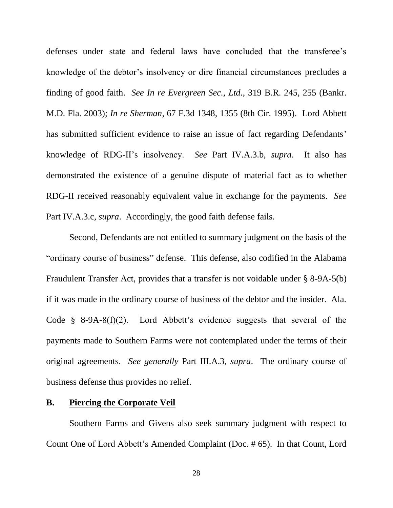defenses under state and federal laws have concluded that the transferee's knowledge of the debtor's insolvency or dire financial circumstances precludes a finding of good faith. *See In re Evergreen Sec., Ltd.*, 319 B.R. 245, 255 (Bankr. M.D. Fla. 2003); *In re Sherman*, 67 F.3d 1348, 1355 (8th Cir. 1995). Lord Abbett has submitted sufficient evidence to raise an issue of fact regarding Defendants' knowledge of RDG-II's insolvency. *See* Part IV.A.3.b, *supra*. It also has demonstrated the existence of a genuine dispute of material fact as to whether RDG-II received reasonably equivalent value in exchange for the payments. *See* Part IV.A.3.c, *supra*. Accordingly, the good faith defense fails.

Second, Defendants are not entitled to summary judgment on the basis of the "ordinary course of business" defense. This defense, also codified in the Alabama Fraudulent Transfer Act, provides that a transfer is not voidable under § 8-9A-5(b) if it was made in the ordinary course of business of the debtor and the insider. Ala. Code  $\frac{8}{3}$  8-9A-8(f)(2). Lord Abbett's evidence suggests that several of the payments made to Southern Farms were not contemplated under the terms of their original agreements. *See generally* Part III.A.3, *supra*. The ordinary course of business defense thus provides no relief.

## **B. Piercing the Corporate Veil**

Southern Farms and Givens also seek summary judgment with respect to Count One of Lord Abbett's Amended Complaint (Doc. # 65). In that Count, Lord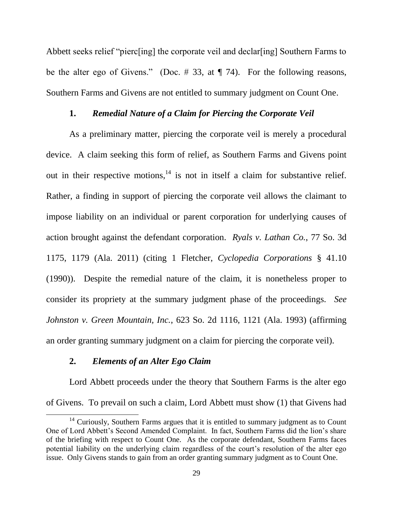Abbett seeks relief "pierc[ing] the corporate veil and declar[ing] Southern Farms to be the alter ego of Givens." (Doc.  $\#$  33, at  $\P$  74). For the following reasons, Southern Farms and Givens are not entitled to summary judgment on Count One.

## **1.** *Remedial Nature of a Claim for Piercing the Corporate Veil*

As a preliminary matter, piercing the corporate veil is merely a procedural device. A claim seeking this form of relief, as Southern Farms and Givens point out in their respective motions,  $14$  is not in itself a claim for substantive relief. Rather, a finding in support of piercing the corporate veil allows the claimant to impose liability on an individual or parent corporation for underlying causes of action brought against the defendant corporation. *Ryals v. Lathan Co.*, 77 So. 3d 1175, 1179 (Ala. 2011) (citing 1 Fletcher, *Cyclopedia Corporations* § 41.10 (1990)). Despite the remedial nature of the claim, it is nonetheless proper to consider its propriety at the summary judgment phase of the proceedings. *See Johnston v. Green Mountain, Inc.*, 623 So. 2d 1116, 1121 (Ala. 1993) (affirming an order granting summary judgment on a claim for piercing the corporate veil).

# **2.** *Elements of an Alter Ego Claim*

 $\overline{a}$ 

Lord Abbett proceeds under the theory that Southern Farms is the alter ego of Givens. To prevail on such a claim, Lord Abbett must show (1) that Givens had

<sup>&</sup>lt;sup>14</sup> Curiously, Southern Farms argues that it is entitled to summary judgment as to Count One of Lord Abbett's Second Amended Complaint. In fact, Southern Farms did the lion's share of the briefing with respect to Count One. As the corporate defendant, Southern Farms faces potential liability on the underlying claim regardless of the court's resolution of the alter ego issue. Only Givens stands to gain from an order granting summary judgment as to Count One.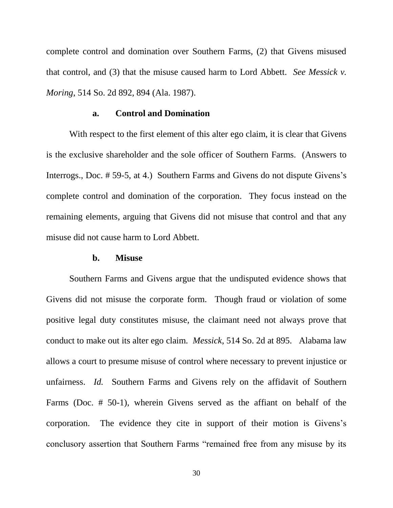complete control and domination over Southern Farms, (2) that Givens misused that control, and (3) that the misuse caused harm to Lord Abbett. *See Messick v. Moring*, 514 So. 2d 892, 894 (Ala. 1987).

## **a. Control and Domination**

With respect to the first element of this alter ego claim, it is clear that Givens is the exclusive shareholder and the sole officer of Southern Farms. (Answers to Interrogs., Doc. # 59-5, at 4.) Southern Farms and Givens do not dispute Givens's complete control and domination of the corporation. They focus instead on the remaining elements, arguing that Givens did not misuse that control and that any misuse did not cause harm to Lord Abbett.

#### **b. Misuse**

Southern Farms and Givens argue that the undisputed evidence shows that Givens did not misuse the corporate form. Though fraud or violation of some positive legal duty constitutes misuse, the claimant need not always prove that conduct to make out its alter ego claim. *Messick*, 514 So. 2d at 895. Alabama law allows a court to presume misuse of control where necessary to prevent injustice or unfairness. *Id.* Southern Farms and Givens rely on the affidavit of Southern Farms (Doc. # 50-1), wherein Givens served as the affiant on behalf of the corporation. The evidence they cite in support of their motion is Givens's conclusory assertion that Southern Farms "remained free from any misuse by its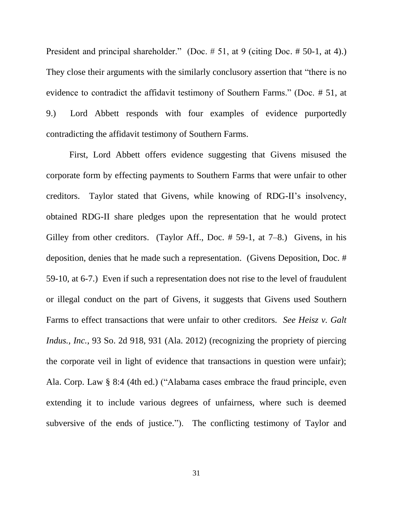President and principal shareholder." (Doc. # 51, at 9 (citing Doc. # 50-1, at 4).) They close their arguments with the similarly conclusory assertion that "there is no evidence to contradict the affidavit testimony of Southern Farms." (Doc. # 51, at 9.) Lord Abbett responds with four examples of evidence purportedly contradicting the affidavit testimony of Southern Farms.

First, Lord Abbett offers evidence suggesting that Givens misused the corporate form by effecting payments to Southern Farms that were unfair to other creditors. Taylor stated that Givens, while knowing of RDG-II's insolvency, obtained RDG-II share pledges upon the representation that he would protect Gilley from other creditors. (Taylor Aff., Doc. # 59-1, at 7–8.) Givens, in his deposition, denies that he made such a representation. (Givens Deposition, Doc. # 59-10, at 6-7.) Even if such a representation does not rise to the level of fraudulent or illegal conduct on the part of Givens, it suggests that Givens used Southern Farms to effect transactions that were unfair to other creditors. *See Heisz v. Galt Indus., Inc.*, 93 So. 2d 918, 931 (Ala. 2012) (recognizing the propriety of piercing the corporate veil in light of evidence that transactions in question were unfair); Ala. Corp. Law § 8:4 (4th ed.) ("Alabama cases embrace the fraud principle, even extending it to include various degrees of unfairness, where such is deemed subversive of the ends of justice."). The conflicting testimony of Taylor and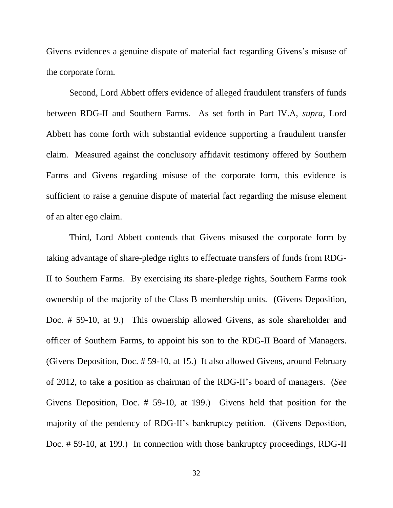Givens evidences a genuine dispute of material fact regarding Givens's misuse of the corporate form.

Second, Lord Abbett offers evidence of alleged fraudulent transfers of funds between RDG-II and Southern Farms. As set forth in Part IV.A, *supra*, Lord Abbett has come forth with substantial evidence supporting a fraudulent transfer claim. Measured against the conclusory affidavit testimony offered by Southern Farms and Givens regarding misuse of the corporate form, this evidence is sufficient to raise a genuine dispute of material fact regarding the misuse element of an alter ego claim.

Third, Lord Abbett contends that Givens misused the corporate form by taking advantage of share-pledge rights to effectuate transfers of funds from RDG-II to Southern Farms. By exercising its share-pledge rights, Southern Farms took ownership of the majority of the Class B membership units. (Givens Deposition, Doc. # 59-10, at 9.) This ownership allowed Givens, as sole shareholder and officer of Southern Farms, to appoint his son to the RDG-II Board of Managers. (Givens Deposition, Doc. # 59-10, at 15.) It also allowed Givens, around February of 2012, to take a position as chairman of the RDG-II's board of managers. (*See* Givens Deposition, Doc. # 59-10, at 199.) Givens held that position for the majority of the pendency of RDG-II's bankruptcy petition. (Givens Deposition, Doc. # 59-10, at 199.) In connection with those bankruptcy proceedings, RDG-II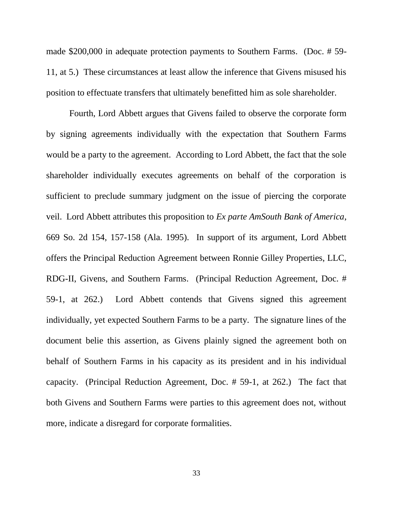made \$200,000 in adequate protection payments to Southern Farms. (Doc. # 59- 11, at 5.) These circumstances at least allow the inference that Givens misused his position to effectuate transfers that ultimately benefitted him as sole shareholder.

Fourth, Lord Abbett argues that Givens failed to observe the corporate form by signing agreements individually with the expectation that Southern Farms would be a party to the agreement. According to Lord Abbett, the fact that the sole shareholder individually executes agreements on behalf of the corporation is sufficient to preclude summary judgment on the issue of piercing the corporate veil. Lord Abbett attributes this proposition to *Ex parte AmSouth Bank of America*, 669 So. 2d 154, 157-158 (Ala. 1995). In support of its argument, Lord Abbett offers the Principal Reduction Agreement between Ronnie Gilley Properties, LLC, RDG-II, Givens, and Southern Farms. (Principal Reduction Agreement, Doc. # 59-1, at 262.) Lord Abbett contends that Givens signed this agreement individually, yet expected Southern Farms to be a party. The signature lines of the document belie this assertion, as Givens plainly signed the agreement both on behalf of Southern Farms in his capacity as its president and in his individual capacity. (Principal Reduction Agreement, Doc. # 59-1, at 262.) The fact that both Givens and Southern Farms were parties to this agreement does not, without more, indicate a disregard for corporate formalities.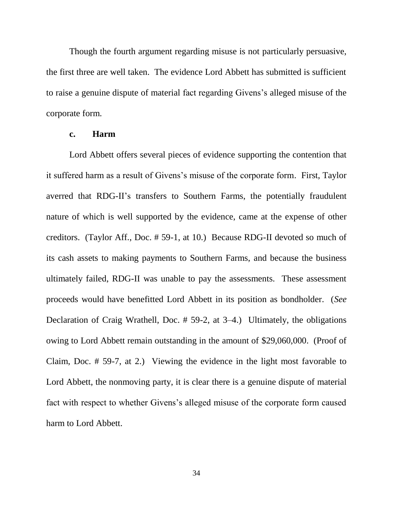Though the fourth argument regarding misuse is not particularly persuasive, the first three are well taken. The evidence Lord Abbett has submitted is sufficient to raise a genuine dispute of material fact regarding Givens's alleged misuse of the corporate form.

#### **c. Harm**

Lord Abbett offers several pieces of evidence supporting the contention that it suffered harm as a result of Givens's misuse of the corporate form. First, Taylor averred that RDG-II's transfers to Southern Farms, the potentially fraudulent nature of which is well supported by the evidence, came at the expense of other creditors. (Taylor Aff., Doc. # 59-1, at 10.) Because RDG-II devoted so much of its cash assets to making payments to Southern Farms, and because the business ultimately failed, RDG-II was unable to pay the assessments. These assessment proceeds would have benefitted Lord Abbett in its position as bondholder. (*See* Declaration of Craig Wrathell, Doc. # 59-2, at 3–4.) Ultimately, the obligations owing to Lord Abbett remain outstanding in the amount of \$29,060,000. (Proof of Claim, Doc. # 59-7, at 2.) Viewing the evidence in the light most favorable to Lord Abbett, the nonmoving party, it is clear there is a genuine dispute of material fact with respect to whether Givens's alleged misuse of the corporate form caused harm to Lord Abbett.